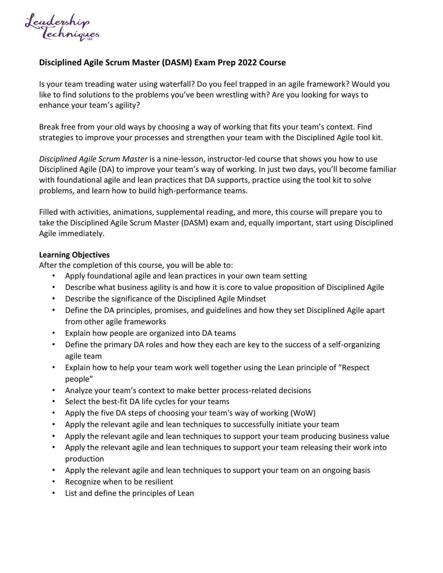Leadership<br>Techniques

## **Disciplined Agile Scrum Master (DASM) Exam Prep 2022 Course**

Is your team treading water using waterfall? Do you feel trapped in an agile framework? Would you like to find solutions to the problems you've been wrestling with? Are you looking for ways to enhance your team's agility?

Break free from your old ways by choosing a way of working that fits your team's context. Find strategies to improve your processes and strengthen your team with the Disciplined Agile tool kit.

*Disciplined Agile Scrum Master* is a nine-lesson, instructor-led course that shows you how to use Disciplined Agile (DA) to improve your team's way of working. In just two days, you'll become familiar with foundational agile and lean practices that DA supports, practice using the tool kit to solve problems, and learn how to build high-performance teams.

Filled with activities, animations, supplemental reading, and more, this course will prepare you to take the Disciplined Agile Scrum Master (DASM) exam and, equally important, start using Disciplined Agile immediately.

## **Learning Objectives**

After the completion of this course, you will be able to:

- Apply foundational agile and lean practices in your own team setting
- Describe what business agility is and how it is core to value proposition of Disciplined Agile
- Describe the significance of the Disciplined Agile Mindset
- Define the DA principles, promises, and guidelines and how they set Disciplined Agile apart from other agile frameworks
- Explain how people are organized into DA teams
- Define the primary DA roles and how they each are key to the success of a self-organizing agile team
- Explain how to help your team work well together using the Lean principle of "Respect people"
- Analyze your team's context to make better process-related decisions
- Select the best-fit DA life cycles for your teams
- Apply the five DA steps of choosing your team's way of working (WoW)
- Apply the relevant agile and lean techniques to successfully initiate your team
- Apply the relevant agile and lean techniques to support your team producing business value
- Apply the relevant agile and lean techniques to support your team releasing their work into production
- Apply the relevant agile and lean techniques to support your team on an ongoing basis
- Recognize when to be resilient
- List and define the principles of Lean